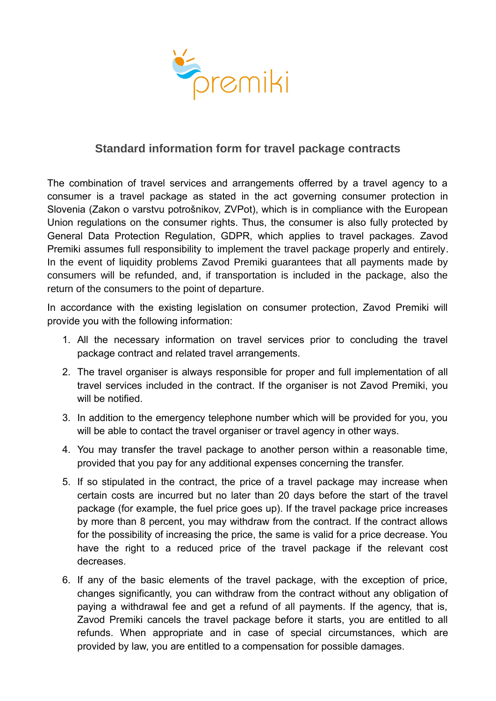

## **Standard information form for travel package contracts**

The combination of travel services and arrangements offerred by a travel agency to a consumer is a travel package as stated in the act governing consumer protection in Slovenia (Zakon o varstvu potrošnikov, ZVPot), which is in compliance with the European Union regulations on the consumer rights. Thus, the consumer is also fully protected by General Data Protection Regulation, GDPR, which applies to travel packages. Zavod Premiki assumes full responsibility to implement the travel package properly and entirely. In the event of liquidity problems Zavod Premiki guarantees that all payments made by consumers will be refunded, and, if transportation is included in the package, also the return of the consumers to the point of departure.

In accordance with the existing legislation on consumer protection, Zavod Premiki will provide you with the following information:

- 1. All the necessary information on travel services prior to concluding the travel package contract and related travel arrangements.
- 2. The travel organiser is always responsible for proper and full implementation of all travel services included in the contract. If the organiser is not Zavod Premiki, you will be notified.
- 3. In addition to the emergency telephone number which will be provided for you, you will be able to contact the travel organiser or travel agency in other ways.
- 4. You may transfer the travel package to another person within a reasonable time, provided that you pay for any additional expenses concerning the transfer.
- 5. If so stipulated in the contract, the price of a travel package may increase when certain costs are incurred but no later than 20 days before the start of the travel package (for example, the fuel price goes up). If the travel package price increases by more than 8 percent, you may withdraw from the contract. If the contract allows for the possibility of increasing the price, the same is valid for a price decrease. You have the right to a reduced price of the travel package if the relevant cost decreases.
- 6. If any of the basic elements of the travel package, with the exception of price, changes significantly, you can withdraw from the contract without any obligation of paying a withdrawal fee and get a refund of all payments. If the agency, that is, Zavod Premiki cancels the travel package before it starts, you are entitled to all refunds. When appropriate and in case of special circumstances, which are provided by law, you are entitled to a compensation for possible damages.